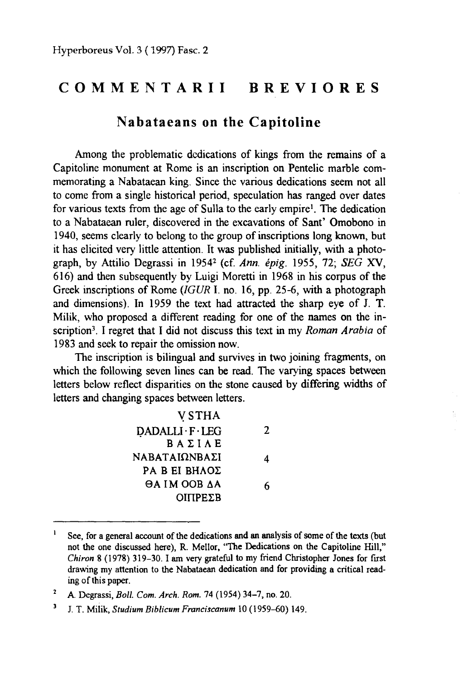## **COMMENTARII BREVIORES**

## **Nabataeans on the Capitoline**

Among the problematic dcdications of kings from the remains of a Capitoline monument at Rome is an inscription on Pentelic marble commemorating a Nabataean king. Since the various dedications seem not all to come from a single historical period, speculation has ranged over dates for various texts from the age of Sulla to the early empire<sup>1</sup>. The dedication to a Nabataean ruler, discovered in the excavations of Sant' Omobono in 1940, seems clearly to belong to the group of inscriptions long known, but it has elicited very Iittle attention. It was published initially, with a photograph, by Attilio Degrassi in 19542 (cf. *Ann. epig.* 1955, 72; *SEG* XV, 616) and then subsequently by Luigi Moretti in 1968 in his corpus of the Greek inscriptions of Rome (IGUR I. no. 16, pp. 25-6, with a photograph and dimensions). In 1959 the text had attracted the sharp eye of J. T. Milik, who proposed a different reading for one of the names on the inscription3. I regret that I did not discuss this text in my *Roman Arabia* of 1983 and seek to repair the omission now.

The inscription is bilingual and survives in two joining fragments, on which the following seven lines can be read. The varying spaces between letters below reflect disparities on the stone caused by differing widths of letters and changing spaces between letters.

> \'STHA  $DADALLI \cdot F \cdot LEG$  2 **BAZIAE**  $NABATAI\Omega NBAZI$  4 PA B EI BHΛΟΣ  $\Theta$ A IM OOB  $\Delta$ A 6  $OIIPEZB$

<sup>&</sup>lt;sup>1</sup> See, for a general account of the dedications and an analysis of some of the texts (but not the one discussed here), R. Mellor, "The Dedications on the Capitoline Hill," *Chiron* 8 (1978) 319-30. I am very gratefu1 to my friend Christopher Jones for frrst drawing my attention to the Nabataean dedication and for providing a critica1 reading of this paper.

<sup>2</sup>A. Degrassi, *Ball. Com. Arch. Rom.* 74 (1954) 34-7, no. 20.

<sup>3</sup> J. T. Mi1ik, *Studium Biblicum Franciscanum* 10 (1959~0) 149.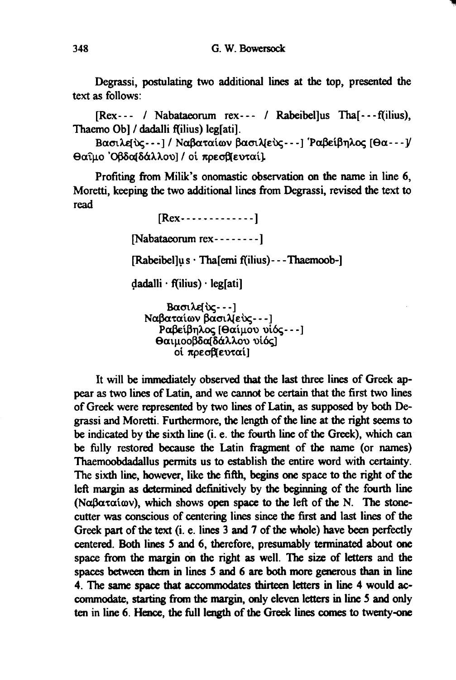Degrassi, postulating two additional lines at the top, presented the text as follows:

[Rex--- / Nabataeorum rex--- / Rabeibel]us Tha<sup>[</sup>---f(ilius), Thaemo Ob] / dadalli f(ilius) leg[ati].

Βασιλείνς --- 1/ Ναβαταίων βασιλ(εύς --- ] Ραβείβηλος [Θα --- ]/ Θαΐμο Όβδαβάλλου] / οί πρεσβευταίλ

Profiting from Milik's onomastic observation on the name in line 6, Moretti, keeping the two additional lines from Degrassi, revised the text to read

> $[{\rm Re} x - \cdots - \cdots -]$  $[Nabataeorum rex---]$ [Rabeibellus · Thalemi f(ilius) - - - Thaemoob-]  $dadalli \cdot f(ilius) \cdot leg[ati]$ Βασιλείνς --- ] Ναβαταίων βασιλ[εύς - --] Ραβείβηλος [Θαίμου υίός --- ]

θαιμοοβδαδάλλου υίός] οί πρεσβίευταί]

It will be immediately observed that the last three lines of Greek appear as two lines of Latin, and we cannot be certain that the first two lines of Greek were represented by two lines of Latin, as supposed by both Degrassi and Moretti. Furthermore, the length of the line at the right seems to be indicated by the sixth line (i. e. the fourth line of the Greek), which can be fully restored because the Latin fragment of the name (or names) Thaemoobdadallus permits us to establish the entire word with certainty. The sixth line, however, like the fifth, begins one space to the right of the left margin as determined definitively by the beginning of the fourth line (Ναβαταίων), which shows open space to the left of the N. The stonecutter was conscious of centering lines since the first and last lines of the Greek part of the text (i. e. lines 3 and 7 of the whole) have been perfectly centered. Both lines 5 and 6, therefore, presumably terminated about one space from the margin on the right as well. The size of letters and the spaces between them in lines 5 and 6 are both more generous than in line 4. The same space that accommodates thirteen letters in line 4 would accommodate, starting from the margin, only eleven letters in line 5 and only ten in line 6. Hence, the full length of the Greek lines comes to twenty-one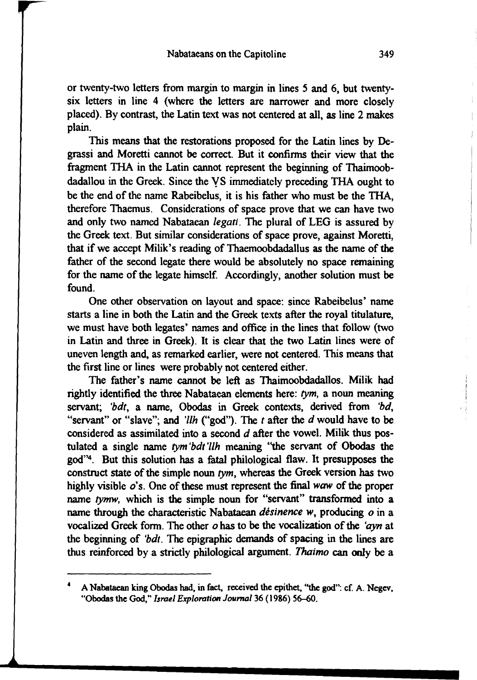or twenty-two letters from margin to margin in lines *5* and 6, but twentysix letters in line 4 (where the letters are narrower and more closely placed). By contrast, the Latin text was not centered at all, as line 2 makes plain.

This means that the restorations proposed for the Latin lines by Degrassi and Moretti cannot be correct. But it confirms their view that the fragment THA in the Latin cannot represent the beginning of Thaimoobdadallou in the Greek. Since the VS immediately preceding THA ought to be the end of the name Rabeibelus, it is his father who must be the THA, therefore Thaemus. Considcrations of space prove that we can have two and only two named Nabataean *legati.* The plural of LEG is assured by the Greek text. But similar considerations of space prove, against Moretti, that if we accept Milik's reading of Thaemoobdadallus as the name of the father of the second Iegate there would be absolutely no space remaining for the name of the legate himself. Accordingly, another solution must be found.

One other observation on Iayout and space: since Rabeibelus' name starts a line in both the Latin and the Greek texts after the royal titulature, we must have both Iegates' names and office in the lines that follow (two in Latin and three in Greek). It is clear that the two Latin lines were of uneven length and, as remarked earlier, were not centered. This means that the first line or lines were probably not centered either.

The father's name cannot be left as Thaimoobdadallos. Milik had rightly identified the three Nabataean elements here: *tym,* a noun meaning servant; 'bdt, a name, Obodas in Greek contexts, derived from 'bd, "servant" or "slave"; and *'llh* ("god"). The *t* after the *d* would have to be considered as assimilated into a second *d* after the vowel. Milik thus postulated a single name *tym 'bdt 'llh* meaning "the servant of Obodas the god"4 . But this solution has a fatal philological flaw. It presupposes the construct state of the simple noun *tym,* whereas the Greek version has two highly visible  $o$ 's. One of these must represent the final waw of the proper name *tymw,* which is the simple noun for "servant" transformed into a name through the characteristic Nabataean *desinence w,* producing *o* in a vocalized Greek form. The other *o* has to be the vocalization of the 'ayn at the beginning of *'bdt.* The epigraphic demands of spacing in the lines are thus reinforced by a strictly philological argument. *Thaimo* can only be a

<sup>4</sup> A Nabataean king Obodas had, in fact, received the epithet, "the god": cf. A. Negev, "Obodas the God," *Israel Exploration Journal* 36 (1986) 56-60.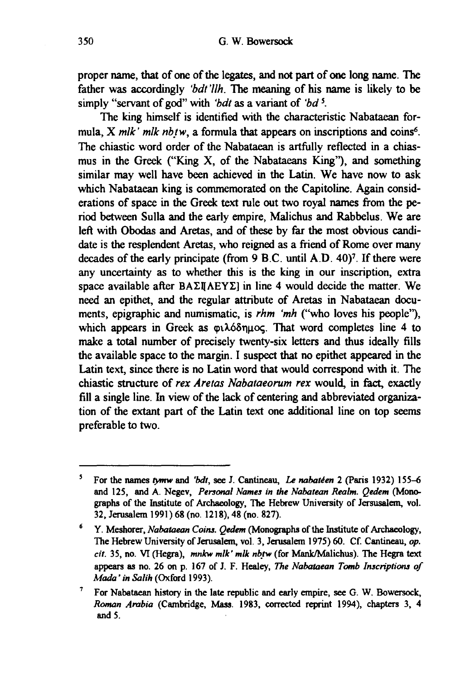proper narne, that of one of the Iegates, and not part of one long name. The father was accordingly *'bdt'llh*. The meaning of his name is likely to be simply "servant of god" with *'bdt* as a variant of *'bd s.* 

The king himself is identified with the characteristic Nabataean formula, X mlk' mlk nbtw, a formula that appears on inscriptions and coins<sup>6</sup>. The chiastic word order of the Nabataean is artfully reflected in a chiasmus in the Greek ("King X, of the Nabataeans King"), and something similar may well have been achieved in the Latin. We have now to ask which Nabataean king is commemorated on the Capitoline. Again considerations of space in the Greek text rule out two royal narnes from the period between Sulla and the early empire, Malichus and Rabbelus. We are left with Obodas and Aretas, and of these by far the most obvious candidate is the resplendent Aretas, who reigned as a friend of Rome over many decades of the early principate (from  $9 \text{ B.C.}$  until A.D.  $40$ )<sup>7</sup>. If there were any uncertainty as to whether this is the king in our inscription, extra space available after  $BA\Sigma$ I( $AEY\Sigma$ ) in line 4 would decide the matter. We need an epithet, and the regular attribute of Aretas in Nabataean documents, epigraphic and numisrnatic, is *rhm 'mh* ("who loves his people"), which appears in Greek as  $\varphi\lambda\delta\delta\eta\mu\infty$ . That word completes line 4 to make a total number of precisely twenty-six letters and thus ideally fills the available space to the rnargin. I suspect that no epithet appeared in the Latin text, since there is no Latin word that would correspond with it. The chiastic structure of *rex Aretas Nabataeorum rex* would, in fact, exactly fill a single line. In view of the Iack of centering and abbreviated organization of the extant part of the Latin text one additional line on top seems preferable to two.

<sup>5</sup> For the narnes *tymw* and *'bdt,* see J. Cantineau, Le *nabateen* 2 (Paris 1932) 155-6 and 125, and A. Negev, *Penonal Names in the Nabatean Realm. Qedem* (Monographs of the Institute of Archaeo1ogy, The Hebrew University of Jersusalem, vol. 32, Jerusa1em 1991) 68 (no. 1218), 48 (no. 827).

<sup>&</sup>lt;sup>6</sup> Y. Meshorer, *Nabataean Coins. Qedem* (Monographs of the Institute of Archaeology, The Hebrew University of Jerusalem, vol. 3, Jerusalem 1975) 60. Cf. Cantineau, *op. cit.* 35, no. VI (Hegra), *mnkw mlk' mlk nb\_tw* (for Mank/M.alichus). The Hegra text appears as no. 26 on p. 167 of J. F. Healey, *The Nabataean Tomb Inscriptions of Mada' in Salih* (Oxford 1993).

<sup>&</sup>lt;sup>7</sup> For Nabataean history in the late republic and early empire, see G. W. Bowersock, *Roman Arabio* (Cambridge, Mass. 1983, corrected reprint 1994), chapters 3, 4 and *5.*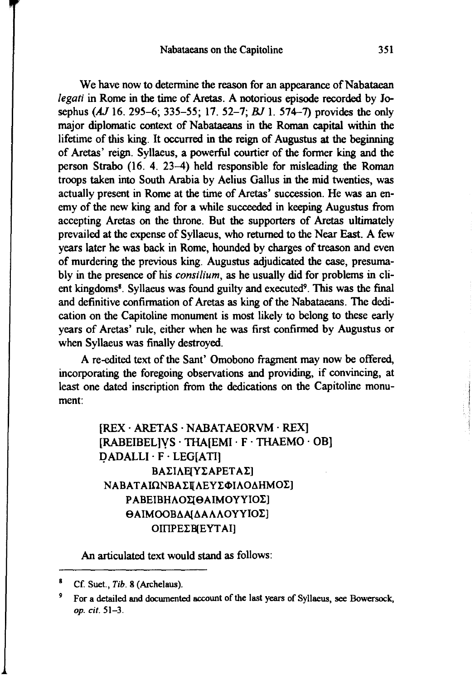We have now to determine the reason for an appearance of Nabataean *legati* in Rome in the time of Aretas. A notorious episode recorded by Josephus *(AJ* 16. 295-6; 335-55; 17. 52-7; *BJ* 1. 574-7) provides the only major diplomatic context of Nabataeans in the Roman capital within the lifetime of this king. It occurred in the reign of Augustus at the beginning of Aretas' reign. Syllaeus, a powerful courtier of the former king and the person Strabo (16. 4. 23-4) held responsible for misleading the Roman troops taken into South Arabia by Aelius Gallus in the mid twenties, was actually present in Rome at the time of Aretas' succession. He was an enemy of the new king and for a while succeeded in keeping Augustus from accepting Aretas on the throne. But the supporters of Aretas ultimately prevailed at the expense of Syllaeus, who retumed to the Near East. A few years later he was back in Rome, hounded by charges of treason and even of murdering the previous king. Augustus adjudicated the case, presumably in the presence of his *consilium,* as he usually did for problems in dient kingdoms<sup>8</sup>. Syllaeus was found guilty and executed<sup>9</sup>. This was the final and definitive confirmation of Aretas as king of the Nabataeans. The dedication on the Capitoline monument is most likely to belong to these early years of Aretas' rule, either when he was first confirmed by Augustus or when Syllaeus was finally destroyed.

A re-edited text of the Sant' Omobono fragment may now be offered, incorporating the foregoing observations and providing, if convincing, at least one dated inscription from the dedications on the Capitoline monument:

> [REX· ARETAS · NABATAEORVM ·REX] [RABEIBEL]YS · THA[EMI · F · THAEMO · OB] QADALLI · F · LEG[ATI] ΒΑΣΙΛΕ[ΥΣΑΡΕΤΑΣ] ΝΑΒΑΤΑΙΩΝΒΑΣΙ ΛΕΥΣΦΙΛΟΔΗΜΟΣ] ΡΑΒΕΙΒΗΛΟΣΙΘΑΙΜΟΥΥΙΟΣ]  $\Theta$ ΑΙΜΟΟΒΔΑΙΔΑΛΛΟΥΥΙΟΣ] OIIIPE EB[EYTAI]

An articulated text would stand as follows:

<sup>8</sup> Cf. Suet., *Tib.* 8 (Archelaus).

For a detailed and documented account of the last years of Syllaeus, see Bowersock, *op. cit.* 51-3.